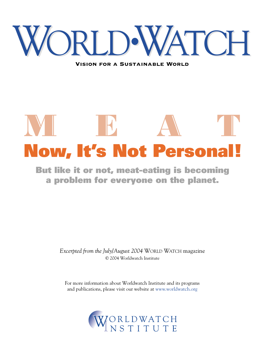

Vision for a Sustainable World

# **Now, It's Not Persona** WI IB A T

**But like it or not, meat-eating is becoming a problem for everyone on the planet.**

> *Excerpted from the July/August 2004* WORLD WATCH magazine © 2004 Worldwatch Institute

For more information about Worldwatch Institute and its programs and publications, please visit our website at www.worldwatch.org

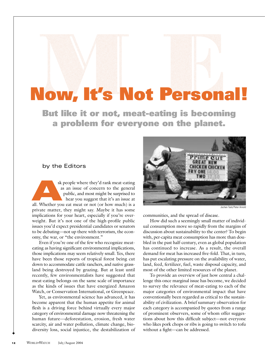# **Now, It's Not Personal!**

**But like it or not, meat-eating is becoming a problem for everyone on the planet.**

#### by the Editors

sk people where they'd rank meat-eating as an issue of concern to the general public, and most might be surprised to hear you suggest that it's an issue at sk people where they'd rank meat-eating<br>as an issue of concern to the general<br>public, and most might be surprised to<br>hear you suggest that it's an issue at<br>all. Whether you eat meat or not (or how much) is a private matter, they might say. Maybe it has some implications for your heart, especially if you're overweight. But it's not one of the high-profile public issues you'd expect presidential candidates or senators to be debating—not up there with terrorism, the economy, the war, or "the environment."

Even if you're one of the few who recognize meateating as having significant environmental implications, those implications may seem relatively small. Yes, there have been those reports of tropical forest being cut down to accommodate cattle ranchers, and native grassland being destroyed by grazing. But at least until recently, few environmentalists have suggested that meat-eating belongs on the same scale of importance as the kinds of issues that have energized Amazon Watch, or Conservation International, or Greenpeace.

Yet, as environmental science has advanced, it has become apparent that the human appetite for animal flesh is a driving force behind virtually every major category of environmental damage now threatening the human future—deforestation, erosion, fresh water scarcity, air and water pollution, climate change, biodiversity loss, social injustice, the destabilization of



Jochen Tack/Peter Ar

communities, and the spread of disease.

How did such a seemingly small matter of individual consumption move so rapidly from the margins of discussion about sustainability to the center? To begin with, per-capita meat consumption has more than doubled in the past half-century, even as global population has continued to increase. As a result, the overall demand for meat has increased five-fold. That, in turn, has put escalating pressure on the availability of water, land, feed, fertilizer, fuel, waste disposal capacity, and most of the other limited resources of the planet.

To provide an overview of just how central a challenge this once marginal issue has become, we decided to survey the relevance of meat-eating to each of the major categories of environmental impact that have conventionally been regarded as critical to the sustainability of civilization. A brief summary observation for each category is accompanied by quotes from a range of prominent observers, some of whom offer suggestions about how this difficult subject—not everyone who likes pork chops or ribs is going to switch to tofu without a fight—can be addressed.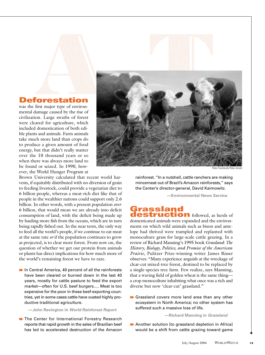

# **Deforestation**

was the first major type of environmental damage caused by the rise of civilization. Large swaths of forest were cleared for agriculture, which included domestication of both edible plants and animals. Farm animals take much more land than crops do to produce a given amount of food energy, but that didn't really matter over the 10 thousand years or so when there was always more land to be found or seized. In 1990, however, the World Hunger Program at

Brown University calculated that recent world harvests, if equitably distributed with no diversion of grain to feeding livestock, could provide a vegetarian diet to 6 billion people, whereas a meat-rich diet like that of people in the wealthier nations could support only 2.6 billion. In other words, with a present population *over* 6 billion, that would mean we are already into deficit consumption of land, with the deficit being made up by hauling more fish from the oceans, which are in turn being rapidly fished out. In the near term, the only way to feed all the world's people, if we continue to eat meat at the same rate *or* if the population continues to grow as projected, is to clear more forest. From now on, the question of whether we get our protein from animals or plants has direct implications for how much more of the world's remaining forest we have to raze.

- **■In Central America, 40 percent of all the rainforests** have been cleared or burned down in the last 40 years, mostly for cattle pasture to feed the export market—often for U.S. beef burgers…. Meat is too expensive for the poor in these beef-exporting countries, yet in some cases cattle have ousted highly productive traditional agriculture.
	- **—John Revington in** *World Rainforest Report*
- **■**The Center for International Forestry Research reports that rapid growth in the sales of Brazilian beef has led to accelerated destruction of the Amazon

rainforest. "In a nutshell, cattle ranchers are making mincemeat out of Brazil's Amazon rainforests," says the Center's director-general, David Kaimowitz.

**—Environmental News Service**

## **Grassland destruction** followed, as herds of

domesticated animals were expanded and the environments on which wild animals such as bison and antelope had thrived were trampled and replanted with monoculture grass for large-scale cattle grazing. In a review of Richard Manning's 1995 book *Grassland: The History, Biology, Politics, and Promise of the American Prairie*, Pulitzer Prize-winning writer James Risser observes: "Many experience anguish at the wreckage of clear-cut mixed-tree forest, destined to be replaced by a single-species tree farm. Few realize, says Manning, that a waving field of golden wheat is the same thing a crop monoculture inhabiting what once was a rich and diverse but now 'clear-cut' grassland."

**Grassland covers more land area than any other** ecosystem in North America; no other system has suffered such a massive loss of life.

**—Richard Manning in** *Grassland*

**▶ Another solution [to grassland depletion in Africa]** would be a shift from cattle grazing toward game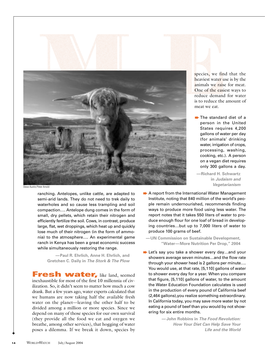

Steve Austin/Peter Arnold

ranching. Antelopes, unlike cattle, are adapted to semi-arid lands. They do not need to trek daily to waterholes and so cause less trampling and soil compaction…. Antelope dung comes in the form of small, dry pellets, which retain their nitrogen and efficiently fertilize the soil. Cows, in contrast, produce large, flat, wet droppings, which heat up and quickly lose much of their nitrogen (in the form of ammonia) to the atmosphere…. An experimental game ranch in Kenya has been a great economic success while simultaneously restoring the range.

**—Paul R. Ehrlich, Anne H. Ehrlich, and Gretchen C. Daily in** *The Stork & The Plow*

**Fresh water, like land, seemed** inexhaustible for most of the first 10 millennia of civilization. So, it didn't seem to matter how much a cow drank. But a few years ago, water experts calculated that we humans are now taking half the available fresh water on the planet—leaving the other half to be divided among a million or more species. Since we depend on many of those species for our own survival (they provide all the food we eat and oxygen we breathe, among other services), that hogging of water poses a dilemma. If we break it down, species by

species, we find that the heaviest water use is by the animals we raise for meat. One of the easiest ways to reduce demand for water is to reduce the amount of meat we eat.

**■**The standard diet of a person in the United States requires 4,200 gallons of water per day (for animals' drinking water, irrigation of crops, processing, washing, cooking, etc.). A person on a vegan diet requires only 300 gallons a day.

**—Richard H. Schwartz in** *Judaism and Vegetarianism*

**▶ A report from the International Water Management** Institute, noting that 840 million of the world's people remain undernourished, recommends finding ways to produce more food using less water. The report notes that it takes 550 liters of water to produce enough flour for one loaf of bread in developing countries…but up to 7,000 liters of water to produce 100 grams of beef.

**—UN Commission on Sustainable Development, "Water—More Nutrition Per Drop," 2004**

**E** Let's say you take a shower every day...and your showers average seven minutes…and the flow rate through your shower head is 2 gallons per minute…. You would use, at that rate, [5,110] gallons of water to shower every day for a year. When you compare that figure, [5,110] gallons of water, to the amount the Water Education Foundation calculates is used in the production of every pound of California beef (2,464 gallons),you realize something extraordinary. In California today, you may save more water by not eating a pound of beef than you would by not showering for six entire months.

> **—John Robbins in** *The Food Revolution: How Your Diet Can Help Save Your Life and the World*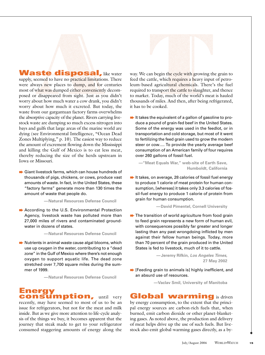

**Waste disposal, like water** supply, seemed to have no practical limitations. There were always new places to dump, and for centuries most of what was dumped either conveniently decomposed or disappeared from sight. Just as you didn't worry about how much water a cow drank, you didn't worry about how much it excreted. But today, the waste from our gargantuan factory farms overwhelms the absorptive capacity of the planet. Rivers carrying livestock waste are dumping so much excess nitrogen into bays and gulfs that large areas of the marine world are dying (see Environmental Intelligence, "Ocean Dead Zones Multiplying," p. 10). The easiest way to reduce the amount of excrement flowing down the Mississippi and killing the Gulf of Mexico is to eat less meat, thereby reducing the size of the herds upstream in Iowa or Missouri.

**■ Giant livestock farms, which can house hundreds of** thousands of pigs, chickens, or cows, produce vast amounts of waste. In fact, in the United States, these "factory farms" generate more than 130 times the amount of waste that people do.

**—Natural Resources Defense Council**

**▶ According to the U.S. Environmental Protection** Agency, livestock waste has polluted more than 27,000 miles of rivers and contaminated groundwater in dozens of states.

**—Natural Resources Defense Council**

 $\rightarrow$  Nutrients in animal waste cause algal blooms, which use up oxygen in the water, contributing to a "dead zone" in the Gulf of Mexico where there's not enough oxygen to support aquatic life. The dead zone stretched over 7,700 square miles during the summer of 1999.

**—Natural Resources Defense Council**

**Energy consumption, until very** 

recently, may have seemed to most of us to be an issue for refrigerators, but not for the meat and milk inside. But as we give more attention to life-cycle analysis of the things we buy, it becomes apparent that the journey that steak made to get to your refrigerator consumed staggering amounts of energy along the

way. We can begin the cycle with growing the grain to feed the cattle, which requires a heavy input of petroleum-based agricultural chemicals. There's the fuel required to transport the cattle to slaughter, and thence to market. Today, much of the world's meat is hauled thousands of miles. And then, after being refrigerated, it has to be cooked.

 $\rightarrow$  It takes the equivalent of a gallon of gasoline to produce a pound of grain-fed beef in the United States. Some of the energy was used in the feedlot, or in transportation and cold storage, but most of it went to fertilizing the feed grain used to grow the modern steer or cow…. To provide the yearly average beef consumption of an American family of four requires over 260 gallons of fossil fuel.

**—"Meat Equals War," web-site of Earth Save, Humboldt, California**

 $\rightarrow$  It takes, on average, 28 calories of fossil fuel energy to produce 1 calorie of meat protein for human consumption, [whereas] it takes only 3.3 calories of fossil-fuel energy to produce 1 calorie of protein from grain for human consumption.

#### **—David Pimentel, Cornell University**

 $\rightarrow$  The transition of world agriculture from food grain to feed grain represents a new form of human evil, with consequences possibly far greater and longer lasting than any past wrongdoing inflicted by men against their fellow human beings. Today, more than 70 percent of the grain produced in the United States is fed to livestock, much of it to cattle.

> **—Jeremy Rifkin,** *Los Angeles Times***, 27 May 2002**

**■** [Feeding grain to animals is] highly inefficient, and an absurd use of resources.

**—Vaclav Smil, University of Manitoba**

## **Global warming** is driven

by energy consumption, to the extent that the principal energy sources are carbon-rich fuels that, when burned, emit carbon dioxide or other planet-blanketing gases. As noted above, the production and delivery of meat helps drive up the use of such fuels. But livestock also emit global-warming gases directly, as a by-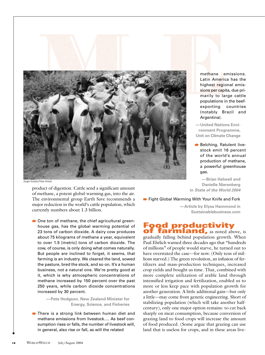

Jorgen Schytte/Peter Arnold

product of digestion. Cattle send a significant amount of methane, a potent global-warming gas, into the air. The environmental group Earth Save recommends a major reduction in the world's cattle population, which currently numbers about 1.3 billion.

**►** One ton of methane, the chief agricultural greenhouse gas, has the global warming potential of 23 tons of carbon dioxide. A dairy cow produces about 75 kilograms of methane a year, equivalent to over 1.5 [metric] tons of carbon dioxide. The cow, of course, is only doing what comes naturally. But people are inclined to forget, it seems, that farming is an industry. We cleared the land, sowed the pasture, bred the stock, and so on. It's a human business, not a natural one. We're pretty good at it, which is why atmospheric concentrations of methane increased by 150 percent over the past 250 years, while carbon dioxide concentrations increased by 30 percent.

> **—Pete Hodgson, New Zealand Minister for Energy, Science, and Fisheries**

 $\rightarrow$  There is a strong link between human diet and methane emissions from livestock…. As beef consumption rises or falls, the number of livestock will, in general, also rise or fall, as will the related

methane emissions. Latin America has the highest regional emissions per capita, due primarily to large cattle populations in the beefexporting countries (notably Brazil and Argentina).

**—United Nations Environment Programme, Unit on Climate Change**

**▶**Belching, flatulent livestock emit 16 percent of the world's annual production of methane, a powerful greenhouse gas.

**—Brian Halweil and Danielle Nierenberg in** *State of the World 2004*

**▶ Fight Global Warming With Your Knife and Fork** 

**—Article by Elysa Hammond in Sustainablebusiness.com**

#### **Food productivity of farmland,** as noted above, is

gradually falling behind population growth. When Paul Ehrlich warned three decades ago that "hundreds of millions" of people would starve, he turned out to have overstated the case—for now. (Only tens of millions starved.) The green revolution, an infusion of fertilizers and mass-production techniques, increased crop yields and bought us time. That, combined with more complete utilization of arable land through intensified irrigation and fertilization, enabled us to more or less keep pace with population growth for another generation. A little additional gain—but only a little—may come from genetic engineering. Short of stabilizing population (which will take another halfcentury), only one major option remains: to cut back sharply on meat consumption, because conversion of grazing land to food crops will increase the amount of food produced. (Some argue that grazing can use land that is useless for crops, and in these areas live-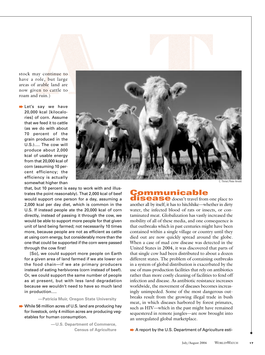

stock may continue to have a role, but large areas of arable land are now given to cattle to roam and ruin.)

Let's say we have 20,000 kcal [kilocalories] of corn. Assume that we feed it to cattle (as we do with about 70 percent of the grain produced in the U.S.)…. The cow will produce about 2,000 kcal of usable energy from that 20,000 kcal of corn (assuming 10 percent efficiency; the efficiency is actually somewhat higher than

C. Thiriet/Peter Arnold

that, but 10 percent is easy to work with and illustrates the point reasonably). That 2,000 kcal of beef would support one person for a day, assuming a 2,000 kcal per day diet, which is common in the U.S. If instead people ate the 20,000 kcal of corn directly, instead of passing it through the cow, we would be able to support more people for that given unit of land being farmed; not necessarily 10 times more, because people are not as efficient as cattle at using corn energy, but considerably more than the one that could be supported if the corn were passed through the cow first!

[So], we could support more people on Earth for a given area of land farmed if we ate lower on the food chain—if we ate primary producers instead of eating herbivores (corn instead of beef). Or, we could support the same number of people as at present, but with less land degradation because we wouldn't need to have so much land in production….

**—Patricia Muir, Oregon State University**

➨While 56 million acres of U.S. land are producing hay for livestock, only 4 million acres are producing vegetables for human consumption.

> **—U.S. Department of Commerce, Census of Agriculture**

# **Communicable**

**disease** doesn't travel from one place to another all by itself; it has to hitchhike—whether in dirty water, the infected blood of rats or insects, or contaminated meat. Globalization has vastly increased the mobility of all of these media, and one consequence is that outbreaks which in past centuries might have been contained within a single village or country until they died out are now quickly spread around the globe. When a case of mad cow disease was detected in the United States in 2004, it was discovered that parts of that single cow had been distributed to about a dozen different states. The problem of containing outbreaks in a system of global distribution is exacerbated by the use of mass-production facilities that rely on antibiotics rather than more costly cleaning of facilities to fend off infection and disease. As antibiotic resistance increases worldwide, the movement of diseases becomes increasingly unimpeded. Some of the most dangerous outbreaks result from the growing illegal trade in bush meat, in which diseases harbored by forest primates, such as HIV—which in the past might have remained sequestered in remote jungles—are now brought into an unregulated global marketplace.

**▶ A report by the U.S. Department of Agriculture esti-**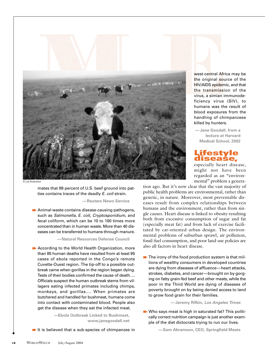

© Lyle Rosbotham

mates that 89 percent of U.S. beef ground into patties contains traces of the deadly *E. coli* strain.

**—Reuters News Service** 

 $\rightarrow$  Animal waste contains disease-causing pathogens, such as *Salmonella, E. coli, Cryptosporidium,* and fecal coliform, which can be 10 to 100 times more concentrated than in human waste. More than 40 diseases can be transferred to humans through manure.

**—Natural Resources Defense Council**

**▶ According to the World Health Organization, more** than 85 human deaths have resulted from at least 95 cases of ebola reported in the Congo's remote Cuvette-Ouest region. The tip-off to a possible outbreak came when gorillas in the region began dying. Tests of their bodies confirmed the cause of death…. Officials suspect the human outbreak stems from villagers eating infected primates including chimps, monkeys, and gorillas…. When primates are butchered and handled for bushmeat, humans come into contact with contaminated blood. People also get the disease when they eat the infected meat.

> **—Ebola Outbreak Linked to Bushmeat, www.janegoodall.net**

 $\rightarrow$  It is believed that a sub-species of chimpanzee in

west-central Africa may be the original source of the HIV/AIDS epidemic, and that the transmission of the virus, a simian immunodeficiency virus (SIV), to humans was the result of blood exposures from the handling of chimpanzees killed by hunters.

**—Jane Goodall, from a lecture at Harvard Medical School, 2002** 

#### **Lifestyle disease,**

especially heart disease, might not have been regarded as an "environmental" problem a genera-

tion ago. But it's now clear that the vast majority of public health problems are environmental, rather than genetic, in nature. Moreover, most preventable diseases result from complex relationships between humans and the environment, rather than from single causes. Heart disease is linked to obesity resulting both from excessive consumption of sugar and fat (especially meat fat) and from lack of exercise facilitated by car-oriented urban design. The environmental problems of suburban sprawl, air pollution, fossil-fuel consumption, and poor land-use policies are also all factors in heart disease.

 $\rightarrow$  The irony of the food production system is that millions of wealthy consumers in developed countries are dying from diseases of affluence—heart attacks, strokes, diabetes, and cancer—brought on by gorging on fatty grain-fed beef and other meats, while the poor in the Third World are dying of diseases of poverty brought on by being denied access to land to grow food grain for their families.

**—Jeremy Rifkin,** *Los Angeles Times*

➨Who says meat is high in saturated fat? This politically correct nutrition campaign is just another example of the diet dictocrats trying to run our lives.

**—Sam Abramson, CEO, Springfield Meats**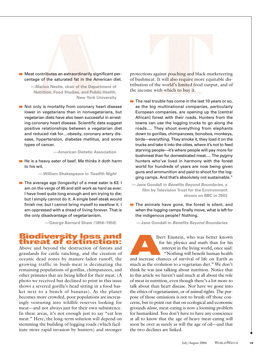

**■**Meat contributes an extraordinarily significant percentage of the saturated fat in the American diet.

> **—Marion Nestle, chair of the Department of Nutrition, Food Studies, and Public Health, New York University**

**▶ Not only is mortality from coronary heart disease** lower in vegetarians than in nonvegetarians, but vegetarian diets have also been successful in arresting coronary heart disease. Scientific data suggest positive relationships between a vegetarian diet and reduced risk for…obesity, coronary artery disease, hypertension, diabetes mellitus, and some types of cancer.

**—American Dietetic Association**

 $\rightarrow$  He is a heavy eater of beef. Me thinks it doth harm to his wit.

**—William Shakespeare in** *Twelfth Night*

**■** The average age (longevity) of a meat eater is 63. I am on the verge of 85 and still work as hard as ever. I have lived quite long enough and am trying to die; but I simply cannot do it. A single beef-steak would finish me; but I cannot bring myself to swallow it. I am oppressed with a dread of living forever. That is the only disadvantage of vegetarianism.

**—George Bernard Shaw (1856–1950)**

#### **Biodiversity loss and threat of extinction:**

Above and beyond the destruction of forests and grasslands for cattle ranching, and the creation of oceanic dead zones by manure-laden runoff, the growing traffic in bush-meat is decimating the remaining populations of gorillas, chimpanzees, and other primates that are being killed for their meat. (A photo we received but declined to print in this issue shows a severed gorilla's head sitting in a food basket next to a bunch of bananas). As the planet becomes more crowded, poor populations are increasingly venturing into wildlife reserves looking for meat—and not always just for their own subsistence. In these areas, it's not enough just to say "eat less meat." Here, the long-term solution will depend on stemming the building of logging roads (which facilitate more rapid invasion by hunters) and stronger

protections against poaching and black-marketeering of bushmeat. It will also require more equitable distribution of the world's limited food output, and of the income with which to buy it.

 $\rightarrow$  The real trouble has come in the last 10 years or so, as the big multinational companies, particularly European companies, are opening up the [central African] forest with their roads. Hunters from the towns can use the logging trucks to go along the roads…. They shoot everything from elephants down to gorillas, chimpanzees, bonobos, monkeys, birds—everything. They smoke it, they load it on the trucks and take it into the cities, where it's not to feed starving people—it's where people will pay more for bushmeat than for domesticated meat…. The pygmy hunters who've lived in harmony with the forest world for hundreds of years are now being given guns and ammunition and paid to shoot for the logging camps. And that's absolutely not sustainable."

**—Jane Goodall in** *Benefits Beyond Boundaries***, a film by Television Trust for the Environment shown on BBC in 2003**

 $\rightarrow$  The animals have gone, the forest is silent, and when the logging camps finally move, what is left for the indigenous people? Nothing.

**—Jane Goodall in** *Benefits Beyond Boundaries*

lbert Einstein, who was better known for his physics and math than for his interest in the living world, once said: "Nothing will benefit human health **EXECUTE:** Ibert Einstein, who was better known<br>for his physics and math than for his<br>interest in the living world, once said:<br>"Nothing will benefit human health<br>and increase chances of survival of life on Earth as

much as the evolution to a vegetarian diet." We don't think he was just talking about nutrition. Notice that in this article we haven't said much at all about the role of meat in nutrition, even though there's a lot more to talk about than heart disease. Nor have we gone into the ethics of vegetarianism, or of animal rights. The purpose of those omissions is not to brush off those concerns, but to point out that on ecological and economic grounds *alone*, meat-eating is now a looming problem for humankind. You don't have to have any conscience at all to know that the age of heavy meat-eating will soon be over as surely as will the age of oil—and that the two declines are linked.